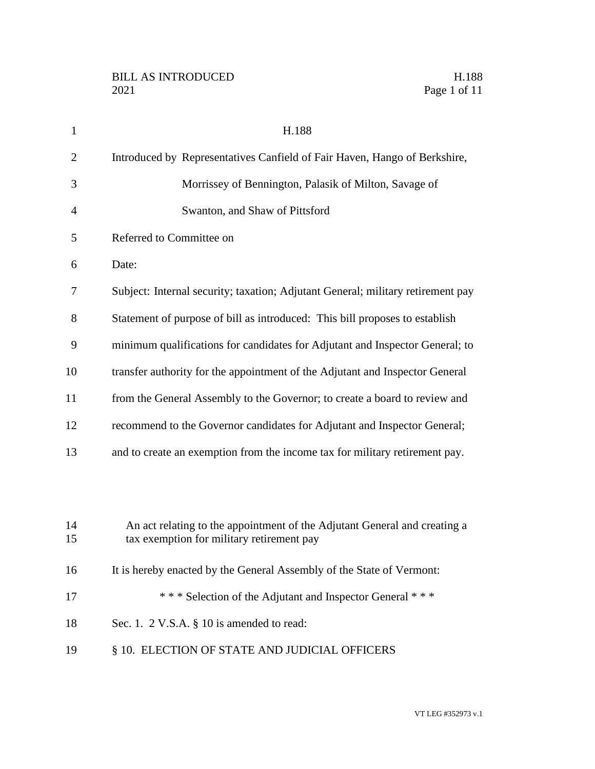| $\mathbf{1}$ | H.188                                                                                                                  |
|--------------|------------------------------------------------------------------------------------------------------------------------|
| 2            | Introduced by Representatives Canfield of Fair Haven, Hango of Berkshire,                                              |
| 3            | Morrissey of Bennington, Palasik of Milton, Savage of                                                                  |
| 4            | Swanton, and Shaw of Pittsford                                                                                         |
| 5            | Referred to Committee on                                                                                               |
| 6            | Date:                                                                                                                  |
| 7            | Subject: Internal security; taxation; Adjutant General; military retirement pay                                        |
| 8            | Statement of purpose of bill as introduced: This bill proposes to establish                                            |
| 9            | minimum qualifications for candidates for Adjutant and Inspector General; to                                           |
| 10           | transfer authority for the appointment of the Adjutant and Inspector General                                           |
| 11           | from the General Assembly to the Governor; to create a board to review and                                             |
| 12           | recommend to the Governor candidates for Adjutant and Inspector General;                                               |
| 13           | and to create an exemption from the income tax for military retirement pay.                                            |
|              |                                                                                                                        |
|              |                                                                                                                        |
| 14<br>15     | An act relating to the appointment of the Adjutant General and creating a<br>tax exemption for military retirement pay |
| 16           | It is hereby enacted by the General Assembly of the State of Vermont:                                                  |
| 17           | *** Selection of the Adjutant and Inspector General ***                                                                |
|              |                                                                                                                        |
| 18           | Sec. 1. 2 V.S.A. § 10 is amended to read:                                                                              |
| 19           | § 10. ELECTION OF STATE AND JUDICIAL OFFICERS                                                                          |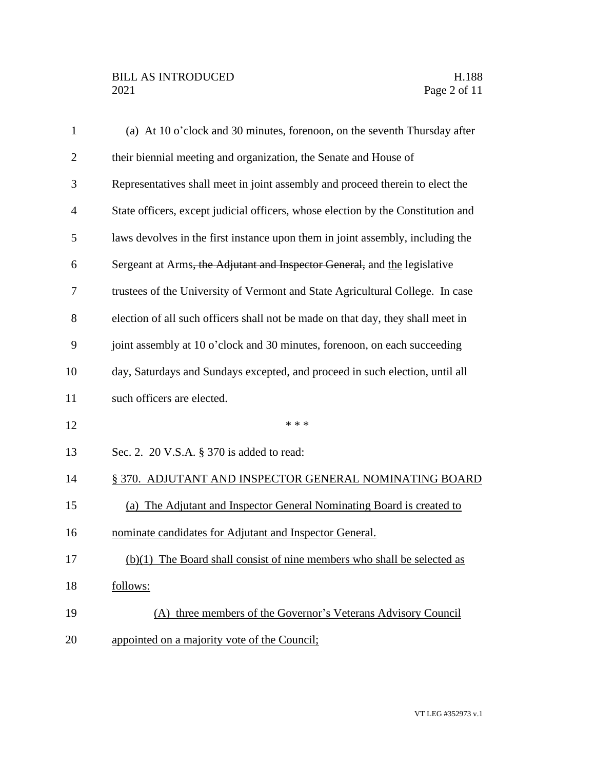| $\mathbf{1}$   | (a) At 10 o'clock and 30 minutes, forenoon, on the seventh Thursday after        |
|----------------|----------------------------------------------------------------------------------|
| $\overline{2}$ | their biennial meeting and organization, the Senate and House of                 |
| 3              | Representatives shall meet in joint assembly and proceed therein to elect the    |
| $\overline{4}$ | State officers, except judicial officers, whose election by the Constitution and |
| 5              | laws devolves in the first instance upon them in joint assembly, including the   |
| 6              | Sergeant at Arms, the Adjutant and Inspector General, and the legislative        |
| 7              | trustees of the University of Vermont and State Agricultural College. In case    |
| 8              | election of all such officers shall not be made on that day, they shall meet in  |
| 9              | joint assembly at 10 o'clock and 30 minutes, forenoon, on each succeeding        |
| 10             | day, Saturdays and Sundays excepted, and proceed in such election, until all     |
| 11             | such officers are elected.                                                       |
| 12             | * * *                                                                            |
| 13             | Sec. 2. 20 V.S.A. § 370 is added to read:                                        |
| 14             | § 370. ADJUTANT AND INSPECTOR GENERAL NOMINATING BOARD                           |
| 15             | (a) The Adjutant and Inspector General Nominating Board is created to            |
| 16             | nominate candidates for Adjutant and Inspector General.                          |
| 17             | $(b)(1)$ The Board shall consist of nine members who shall be selected as        |
| 18             | follows:                                                                         |
| 19             | (A) three members of the Governor's Veterans Advisory Council                    |
| 20             | appointed on a majority vote of the Council;                                     |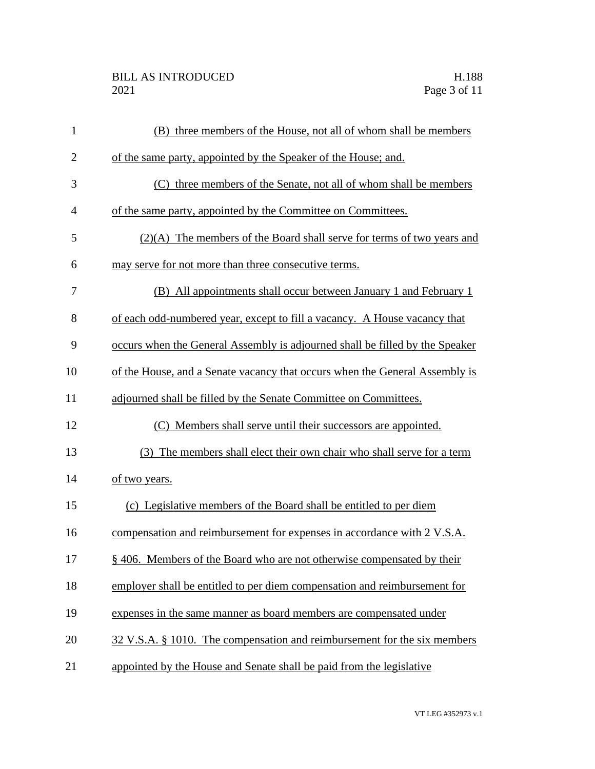| $\mathbf{1}$   | (B) three members of the House, not all of whom shall be members             |
|----------------|------------------------------------------------------------------------------|
| $\overline{2}$ | of the same party, appointed by the Speaker of the House; and.               |
| 3              | (C) three members of the Senate, not all of whom shall be members            |
| 4              | of the same party, appointed by the Committee on Committees.                 |
| 5              | (2)(A) The members of the Board shall serve for terms of two years and       |
| 6              | may serve for not more than three consecutive terms.                         |
| 7              | (B) All appointments shall occur between January 1 and February 1            |
| 8              | of each odd-numbered year, except to fill a vacancy. A House vacancy that    |
| 9              | occurs when the General Assembly is adjourned shall be filled by the Speaker |
| 10             | of the House, and a Senate vacancy that occurs when the General Assembly is  |
| 11             | adjourned shall be filled by the Senate Committee on Committees.             |
| 12             | (C) Members shall serve until their successors are appointed.                |
| 13             | (3) The members shall elect their own chair who shall serve for a term       |
| 14             | of two years.                                                                |
| 15             | (c) Legislative members of the Board shall be entitled to per diem           |
| 16             | compensation and reimbursement for expenses in accordance with 2 V.S.A.      |
| 17             | § 406. Members of the Board who are not otherwise compensated by their       |
| 18             | employer shall be entitled to per diem compensation and reimbursement for    |
| 19             | expenses in the same manner as board members are compensated under           |
| 20             | 32 V.S.A. § 1010. The compensation and reimbursement for the six members     |
| 21             | appointed by the House and Senate shall be paid from the legislative         |
|                |                                                                              |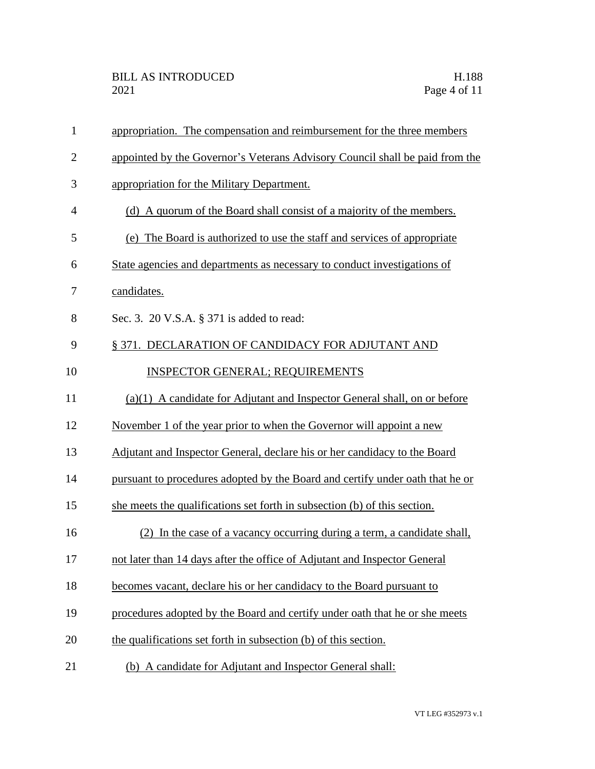| $\mathbf{1}$   | appropriation. The compensation and reimbursement for the three members       |
|----------------|-------------------------------------------------------------------------------|
| $\overline{2}$ | appointed by the Governor's Veterans Advisory Council shall be paid from the  |
| 3              | appropriation for the Military Department.                                    |
| 4              | (d) A quorum of the Board shall consist of a majority of the members.         |
| 5              | (e) The Board is authorized to use the staff and services of appropriate      |
| 6              | State agencies and departments as necessary to conduct investigations of      |
| 7              | candidates.                                                                   |
| 8              | Sec. 3. 20 V.S.A. § 371 is added to read:                                     |
| 9              | § 371. DECLARATION OF CANDIDACY FOR ADJUTANT AND                              |
| 10             | <b>INSPECTOR GENERAL; REQUIREMENTS</b>                                        |
| 11             | (a)(1) A candidate for Adjutant and Inspector General shall, on or before     |
| 12             | November 1 of the year prior to when the Governor will appoint a new          |
| 13             | Adjutant and Inspector General, declare his or her candidacy to the Board     |
| 14             | pursuant to procedures adopted by the Board and certify under oath that he or |
| 15             | she meets the qualifications set forth in subsection (b) of this section.     |
| 16             | (2) In the case of a vacancy occurring during a term, a candidate shall,      |
| 17             | not later than 14 days after the office of Adjutant and Inspector General     |
| 18             | becomes vacant, declare his or her candidacy to the Board pursuant to         |
| 19             | procedures adopted by the Board and certify under oath that he or she meets   |
| 20             | the qualifications set forth in subsection (b) of this section.               |
| 21             | (b) A candidate for Adjutant and Inspector General shall:                     |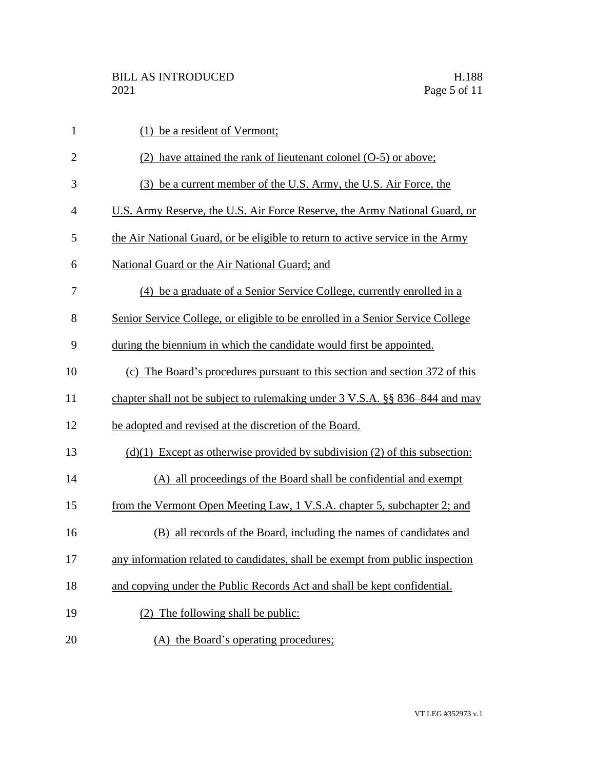| $\mathbf{1}$   | (1) be a resident of Vermont;                                                  |
|----------------|--------------------------------------------------------------------------------|
| $\mathbf{2}$   | (2) have attained the rank of lieutenant colonel (O-5) or above;               |
| 3              | (3) be a current member of the U.S. Army, the U.S. Air Force, the              |
| $\overline{4}$ | U.S. Army Reserve, the U.S. Air Force Reserve, the Army National Guard, or     |
| 5              | the Air National Guard, or be eligible to return to active service in the Army |
| 6              | National Guard or the Air National Guard; and                                  |
| 7              | (4) be a graduate of a Senior Service College, currently enrolled in a         |
| 8              | Senior Service College, or eligible to be enrolled in a Senior Service College |
| 9              | during the biennium in which the candidate would first be appointed.           |
| 10             | (c) The Board's procedures pursuant to this section and section 372 of this    |
| 11             | chapter shall not be subject to rulemaking under 3 V.S.A. §§ 836–844 and may   |
| 12             | be adopted and revised at the discretion of the Board.                         |
| 13             | $(d)(1)$ Except as otherwise provided by subdivision (2) of this subsection:   |
| 14             | (A) all proceedings of the Board shall be confidential and exempt              |
| 15             | from the Vermont Open Meeting Law, 1 V.S.A. chapter 5, subchapter 2; and       |
| 16             | (B) all records of the Board, including the names of candidates and            |
| 17             | any information related to candidates, shall be exempt from public inspection  |
| 18             | and copying under the Public Records Act and shall be kept confidential.       |
| 19             | (2) The following shall be public:                                             |
| 20             | (A) the Board's operating procedures;                                          |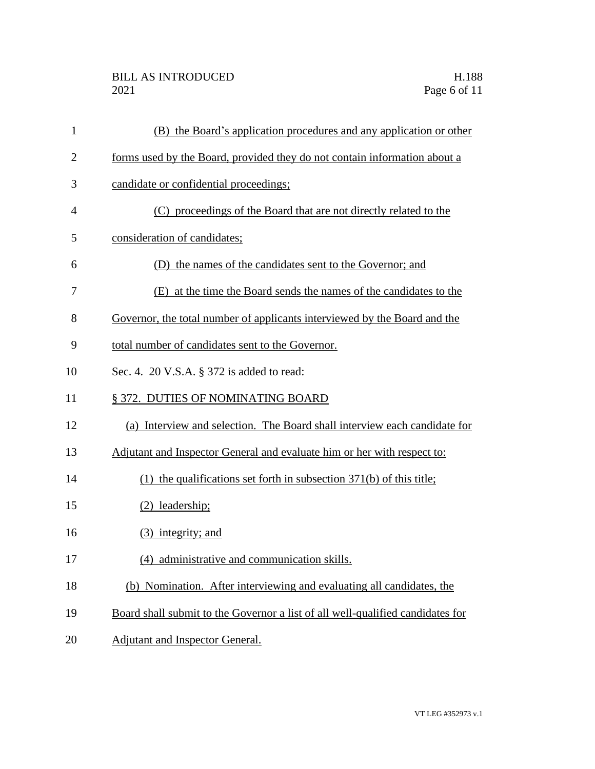| $\mathbf{1}$   | (B) the Board's application procedures and any application or other            |
|----------------|--------------------------------------------------------------------------------|
| $\overline{2}$ | forms used by the Board, provided they do not contain information about a      |
| 3              | candidate or confidential proceedings;                                         |
| $\overline{4}$ | (C) proceedings of the Board that are not directly related to the              |
| 5              | consideration of candidates;                                                   |
| 6              | (D) the names of the candidates sent to the Governor; and                      |
| 7              | (E) at the time the Board sends the names of the candidates to the             |
| 8              | Governor, the total number of applicants interviewed by the Board and the      |
| 9              | total number of candidates sent to the Governor.                               |
| 10             | Sec. 4. 20 V.S.A. § 372 is added to read:                                      |
| 11             | § 372. DUTIES OF NOMINATING BOARD                                              |
| 12             | (a) Interview and selection. The Board shall interview each candidate for      |
| 13             | Adjutant and Inspector General and evaluate him or her with respect to:        |
| 14             | (1) the qualifications set forth in subsection $371(b)$ of this title;         |
| 15             | $(2)$ leadership;                                                              |
| 16             | (3) integrity; and                                                             |
| 17             | (4) administrative and communication skills.                                   |
| 18             | (b) Nomination. After interviewing and evaluating all candidates, the          |
| 19             | Board shall submit to the Governor a list of all well-qualified candidates for |
| 20             | Adjutant and Inspector General.                                                |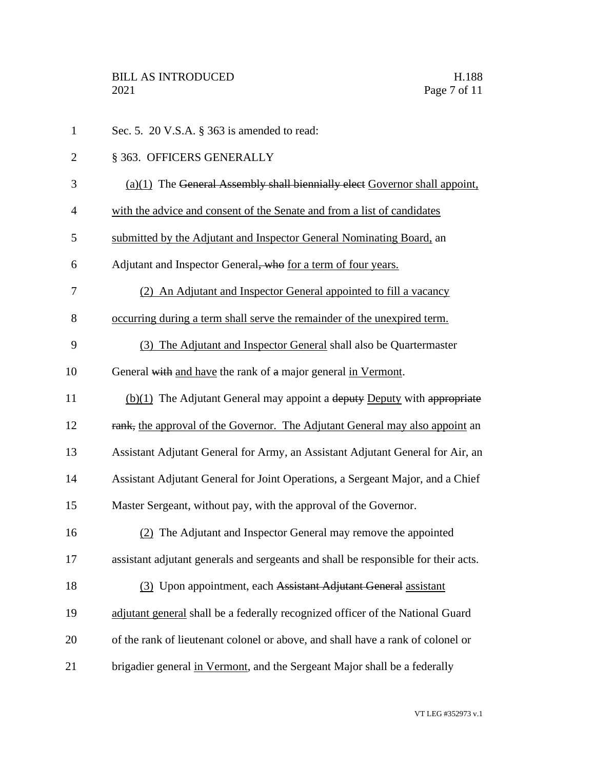| $\mathbf{1}$   | Sec. 5. 20 V.S.A. § 363 is amended to read:                                        |
|----------------|------------------------------------------------------------------------------------|
| $\overline{2}$ | § 363. OFFICERS GENERALLY                                                          |
| 3              | $(a)(1)$ The General Assembly shall biennially elect Governor shall appoint,       |
| $\overline{4}$ | with the advice and consent of the Senate and from a list of candidates            |
| 5              | submitted by the Adjutant and Inspector General Nominating Board, an               |
| 6              | Adjutant and Inspector General, who for a term of four years.                      |
| 7              | (2) An Adjutant and Inspector General appointed to fill a vacancy                  |
| 8              | occurring during a term shall serve the remainder of the unexpired term.           |
| 9              | (3) The Adjutant and Inspector General shall also be Quartermaster                 |
| 10             | General with and have the rank of a major general in Vermont.                      |
| 11             | $(b)(1)$ The Adjutant General may appoint a deputy Deputy with appropriate         |
| 12             | rank, the approval of the Governor. The Adjutant General may also appoint an       |
| 13             | Assistant Adjutant General for Army, an Assistant Adjutant General for Air, an     |
| 14             | Assistant Adjutant General for Joint Operations, a Sergeant Major, and a Chief     |
| 15             | Master Sergeant, without pay, with the approval of the Governor.                   |
| 16             | (2) The Adjutant and Inspector General may remove the appointed                    |
| 17             | assistant adjutant generals and sergeants and shall be responsible for their acts. |
| 18             | (3) Upon appointment, each Assistant Adjutant General assistant                    |
| 19             | adjutant general shall be a federally recognized officer of the National Guard     |
| 20             | of the rank of lieutenant colonel or above, and shall have a rank of colonel or    |
| 21             | brigadier general in Vermont, and the Sergeant Major shall be a federally          |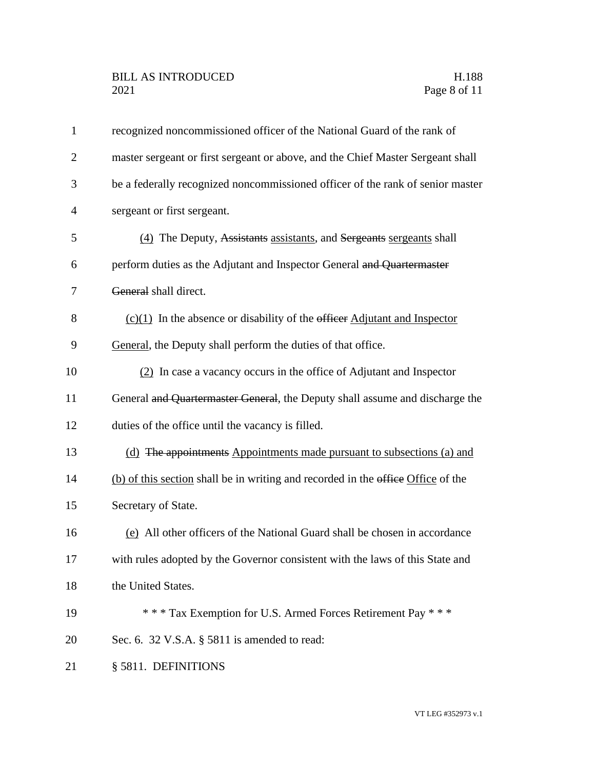| $\mathbf{1}$   | recognized noncommissioned officer of the National Guard of the rank of          |
|----------------|----------------------------------------------------------------------------------|
| $\overline{2}$ | master sergeant or first sergeant or above, and the Chief Master Sergeant shall  |
| 3              | be a federally recognized noncommissioned officer of the rank of senior master   |
| $\overline{4}$ | sergeant or first sergeant.                                                      |
| 5              | (4) The Deputy, Assistants assistants, and Sergeants sergeants shall             |
| 6              | perform duties as the Adjutant and Inspector General and Quartermaster           |
| 7              | General shall direct.                                                            |
| 8              | $(c)(1)$ In the absence or disability of the efficer Adjutant and Inspector      |
| 9              | General, the Deputy shall perform the duties of that office.                     |
| 10             | (2) In case a vacancy occurs in the office of Adjutant and Inspector             |
| 11             | General and Quartermaster General, the Deputy shall assume and discharge the     |
| 12             | duties of the office until the vacancy is filled.                                |
| 13             | (d) The appointments Appointments made pursuant to subsections (a) and           |
| 14             | (b) of this section shall be in writing and recorded in the office Office of the |
| 15             | Secretary of State.                                                              |
| 16             | (e) All other officers of the National Guard shall be chosen in accordance       |
| 17             | with rules adopted by the Governor consistent with the laws of this State and    |
| 18             | the United States.                                                               |
| 19             | *** Tax Exemption for U.S. Armed Forces Retirement Pay ***                       |
| 20             | Sec. 6. 32 V.S.A. § 5811 is amended to read:                                     |
| 21             | § 5811. DEFINITIONS                                                              |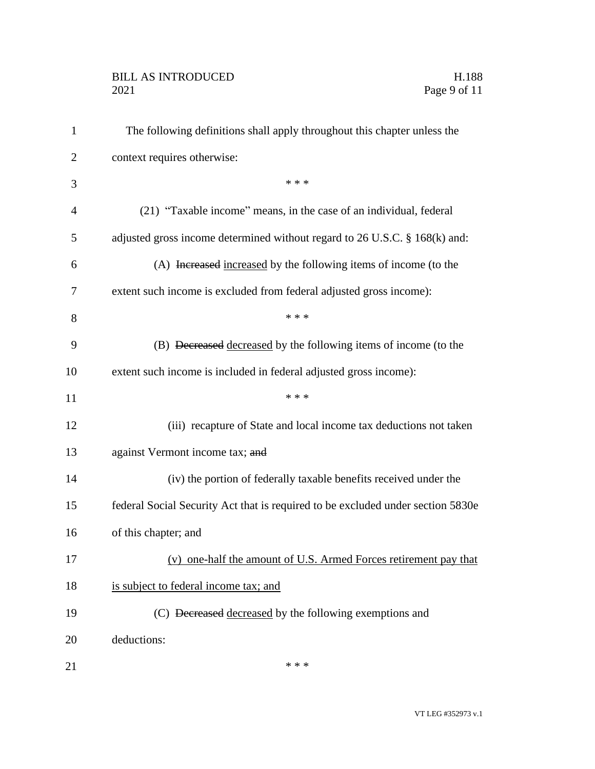## BILL AS INTRODUCED H.188<br>2021 Page 9 of 11

| $\mathbf{1}$   | The following definitions shall apply throughout this chapter unless the        |
|----------------|---------------------------------------------------------------------------------|
| $\overline{2}$ | context requires otherwise:                                                     |
| 3              | * * *                                                                           |
| 4              | (21) "Taxable income" means, in the case of an individual, federal              |
| 5              | adjusted gross income determined without regard to 26 U.S.C. § 168(k) and:      |
| 6              | (A) Increased increased by the following items of income (to the                |
| 7              | extent such income is excluded from federal adjusted gross income):             |
| 8              | * * *                                                                           |
| 9              | (B) Decreased decreased by the following items of income (to the                |
| 10             | extent such income is included in federal adjusted gross income):               |
| 11             | * * *                                                                           |
| 12             | (iii) recapture of State and local income tax deductions not taken              |
| 13             | against Vermont income tax; and                                                 |
| 14             | (iv) the portion of federally taxable benefits received under the               |
| 15             | federal Social Security Act that is required to be excluded under section 5830e |
| 16             | of this chapter; and                                                            |
| 17             | (v) one-half the amount of U.S. Armed Forces retirement pay that                |
| 18             | is subject to federal income tax; and                                           |
| 19             | (C) Decreased decreased by the following exemptions and                         |
| 20             | deductions:                                                                     |
| 21             | * * *                                                                           |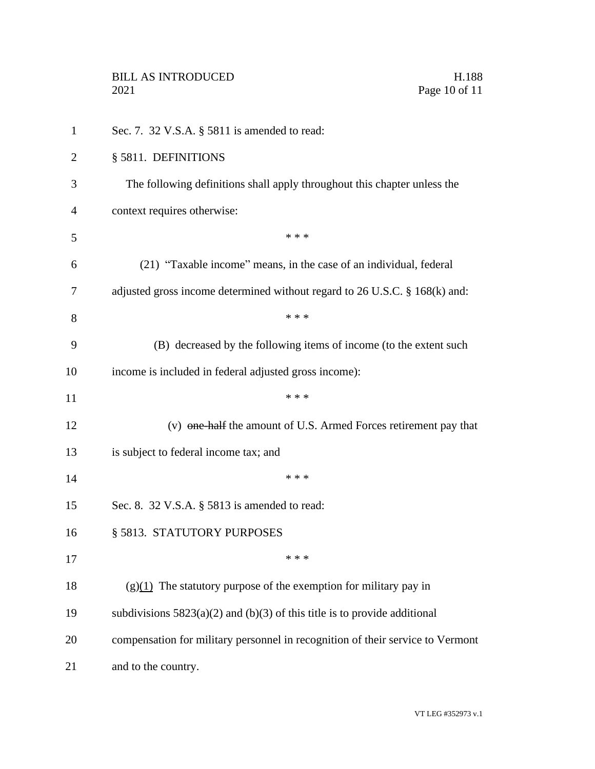| $\mathbf{1}$ | Sec. 7. 32 V.S.A. § 5811 is amended to read:                                   |
|--------------|--------------------------------------------------------------------------------|
| 2            | § 5811. DEFINITIONS                                                            |
| 3            | The following definitions shall apply throughout this chapter unless the       |
| 4            | context requires otherwise:                                                    |
| 5            | * * *                                                                          |
| 6            | (21) "Taxable income" means, in the case of an individual, federal             |
| 7            | adjusted gross income determined without regard to 26 U.S.C. § 168(k) and:     |
| 8            | * * *                                                                          |
| 9            | (B) decreased by the following items of income (to the extent such             |
| 10           | income is included in federal adjusted gross income):                          |
| 11           | * * *                                                                          |
| 12           | (v) one-half the amount of U.S. Armed Forces retirement pay that               |
| 13           | is subject to federal income tax; and                                          |
| 14           | * * *                                                                          |
| 15           | Sec. 8. 32 V.S.A. § 5813 is amended to read:                                   |
| 16           | § 5813. STATUTORY PURPOSES                                                     |
| 17           | * * *                                                                          |
| 18           | $(g)(1)$ The statutory purpose of the exemption for military pay in            |
| 19           | subdivisions $5823(a)(2)$ and (b)(3) of this title is to provide additional    |
| 20           | compensation for military personnel in recognition of their service to Vermont |
| 21           | and to the country.                                                            |